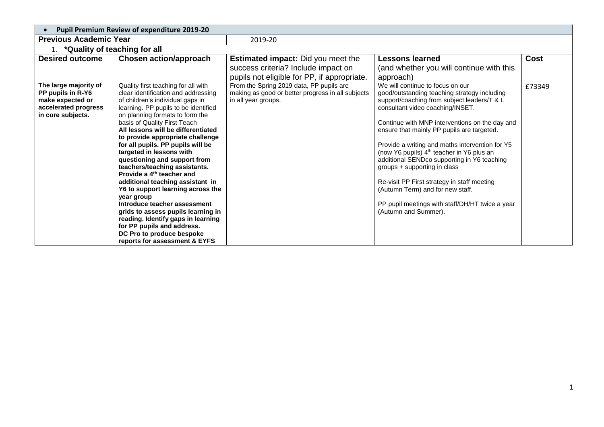| $\bullet$                                                                                                   | <b>Pupil Premium Review of expenditure 2019-20</b>                                                                                                                                                                                                                                                                                                                                                                                                                                                                                                                                                                                                                                                                                           |                                                                                                                      |                                                                                                                                                                                                                                                                                                                                                                                                                                                                                                                                                                                                                              |        |
|-------------------------------------------------------------------------------------------------------------|----------------------------------------------------------------------------------------------------------------------------------------------------------------------------------------------------------------------------------------------------------------------------------------------------------------------------------------------------------------------------------------------------------------------------------------------------------------------------------------------------------------------------------------------------------------------------------------------------------------------------------------------------------------------------------------------------------------------------------------------|----------------------------------------------------------------------------------------------------------------------|------------------------------------------------------------------------------------------------------------------------------------------------------------------------------------------------------------------------------------------------------------------------------------------------------------------------------------------------------------------------------------------------------------------------------------------------------------------------------------------------------------------------------------------------------------------------------------------------------------------------------|--------|
| <b>Previous Academic Year</b>                                                                               |                                                                                                                                                                                                                                                                                                                                                                                                                                                                                                                                                                                                                                                                                                                                              | 2019-20                                                                                                              |                                                                                                                                                                                                                                                                                                                                                                                                                                                                                                                                                                                                                              |        |
| 1. * Quality of teaching for all                                                                            |                                                                                                                                                                                                                                                                                                                                                                                                                                                                                                                                                                                                                                                                                                                                              |                                                                                                                      |                                                                                                                                                                                                                                                                                                                                                                                                                                                                                                                                                                                                                              |        |
| <b>Desired outcome</b>                                                                                      | Chosen action/approach                                                                                                                                                                                                                                                                                                                                                                                                                                                                                                                                                                                                                                                                                                                       | <b>Estimated impact:</b> Did you meet the                                                                            | <b>Lessons learned</b>                                                                                                                                                                                                                                                                                                                                                                                                                                                                                                                                                                                                       | Cost   |
|                                                                                                             |                                                                                                                                                                                                                                                                                                                                                                                                                                                                                                                                                                                                                                                                                                                                              | success criteria? Include impact on<br>pupils not eligible for PP, if appropriate.                                   | (and whether you will continue with this<br>approach)                                                                                                                                                                                                                                                                                                                                                                                                                                                                                                                                                                        |        |
| The large majority of<br>PP pupils in R-Y6<br>make expected or<br>accelerated progress<br>in core subjects. | Quality first teaching for all with<br>clear identification and addressing<br>of children's individual gaps in<br>learning. PP pupils to be identified<br>on planning formats to form the<br>basis of Quality First Teach<br>All lessons will be differentiated<br>to provide appropriate challenge<br>for all pupils. PP pupils will be<br>targeted in lessons with<br>questioning and support from<br>teachers/teaching assistants.<br>Provide a 4 <sup>th</sup> teacher and<br>additional teaching assistant in<br>Y6 to support learning across the<br>year group<br>Introduce teacher assessment<br>grids to assess pupils learning in<br>reading. Identify gaps in learning<br>for PP pupils and address.<br>DC Pro to produce bespoke | From the Spring 2019 data, PP pupils are<br>making as good or better progress in all subjects<br>in all year groups. | We will continue to focus on our<br>good/outstanding teaching strategy including<br>support/coaching from subject leaders/T & L<br>consultant video coaching/INSET.<br>Continue with MNP interventions on the day and<br>ensure that mainly PP pupils are targeted.<br>Provide a writing and maths intervention for Y5<br>(now Y6 pupils) 4 <sup>th</sup> teacher in Y6 plus an<br>additional SENDco supporting in Y6 teaching<br>groups + supporting in class<br>Re-visit PP First strategy in staff meeting<br>(Autumn Term) and for new staff.<br>PP pupil meetings with staff/DH/HT twice a year<br>(Autumn and Summer). | £73349 |
|                                                                                                             | reports for assessment & EYFS                                                                                                                                                                                                                                                                                                                                                                                                                                                                                                                                                                                                                                                                                                                |                                                                                                                      |                                                                                                                                                                                                                                                                                                                                                                                                                                                                                                                                                                                                                              |        |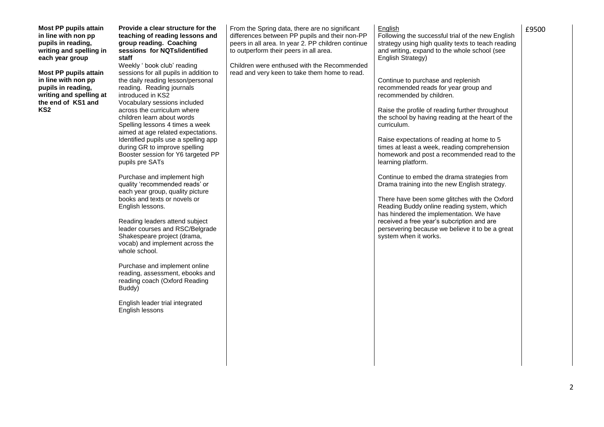| <b>Most PP pupils attain</b><br>in line with non pp<br>pupils in reading,<br>writing and spelling in<br>each year group<br><b>Most PP pupils attain</b><br>in line with non pp<br>pupils in reading,<br>writing and spelling at<br>the end of KS1 and<br>KS <sub>2</sub> | Provide a clear structure for the<br>teaching of reading lessons and<br>group reading. Coaching<br>sessions for NQTs/identified<br>staff<br>Weekly ' book club' reading<br>sessions for all pupils in addition to<br>the daily reading lesson/personal<br>reading. Reading journals<br>introduced in KS2<br>Vocabulary sessions included<br>across the curriculum where<br>children learn about words<br>Spelling lessons 4 times a week<br>aimed at age related expectations.<br>Identified pupils use a spelling app<br>during GR to improve spelling<br>Booster session for Y6 targeted PP<br>pupils pre SATs<br>Purchase and implement high<br>quality 'recommended reads' or<br>each year group, quality picture<br>books and texts or novels or<br>English lessons.<br>Reading leaders attend subject<br>leader courses and RSC/Belgrade<br>Shakespeare project (drama,<br>vocab) and implement across the<br>whole school.<br>Purchase and implement online<br>reading, assessment, ebooks and<br>reading coach (Oxford Reading<br>Buddy)<br>English leader trial integrated<br>English lessons | From the Spring data, there are no significant<br>differences between PP pupils and their non-PP<br>peers in all area. In year 2. PP children continue<br>to outperform their peers in all area.<br>Children were enthused with the Recommended<br>read and very keen to take them home to read. | English<br>Following the successful trial of the new English<br>strategy using high quality texts to teach reading<br>and writing, expand to the whole school (see<br>English Strategy)<br>Continue to purchase and replenish<br>recommended reads for year group and<br>recommended by children.<br>Raise the profile of reading further throughout<br>the school by having reading at the heart of the<br>curriculum.<br>Raise expectations of reading at home to 5<br>times at least a week, reading comprehension<br>homework and post a recommended read to the<br>learning platform.<br>Continue to embed the drama strategies from<br>Drama training into the new English strategy.<br>There have been some glitches with the Oxford<br>Reading Buddy online reading system, which<br>has hindered the implementation. We have<br>received a free year's subcription and are<br>persevering because we believe it to be a great<br>system when it works. | £9500 |
|--------------------------------------------------------------------------------------------------------------------------------------------------------------------------------------------------------------------------------------------------------------------------|--------------------------------------------------------------------------------------------------------------------------------------------------------------------------------------------------------------------------------------------------------------------------------------------------------------------------------------------------------------------------------------------------------------------------------------------------------------------------------------------------------------------------------------------------------------------------------------------------------------------------------------------------------------------------------------------------------------------------------------------------------------------------------------------------------------------------------------------------------------------------------------------------------------------------------------------------------------------------------------------------------------------------------------------------------------------------------------------------------|--------------------------------------------------------------------------------------------------------------------------------------------------------------------------------------------------------------------------------------------------------------------------------------------------|-----------------------------------------------------------------------------------------------------------------------------------------------------------------------------------------------------------------------------------------------------------------------------------------------------------------------------------------------------------------------------------------------------------------------------------------------------------------------------------------------------------------------------------------------------------------------------------------------------------------------------------------------------------------------------------------------------------------------------------------------------------------------------------------------------------------------------------------------------------------------------------------------------------------------------------------------------------------|-------|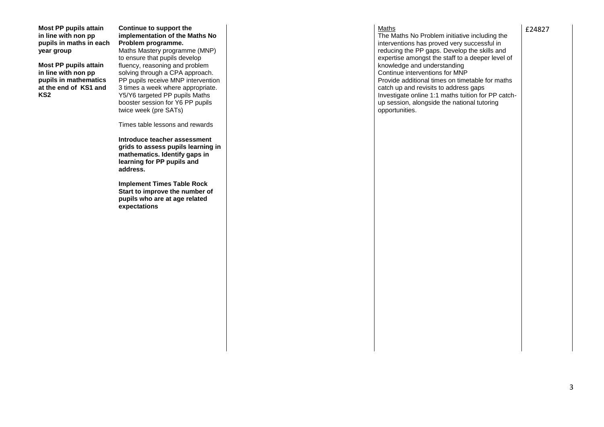**Most PP pupils attain in line with non pp pupils in maths in each year group**

**Most PP pupils attain in line with non pp pupils in mathematics at the end of KS1 and KS2**

### **Continue to support the implementation of the Maths No Problem programme.**

Maths Mastery programme (MNP) to ensure that pupils develop fluency, reasoning and problem solving through a CPA approach. PP pupils receive MNP intervention 3 times a week where appropriate. Y5/Y6 targeted PP pupils Maths booster session for Y6 PP pupils twice week (pre SATs)

Times table lessons and rewards

**Introduce teacher assessment grids to assess pupils learning in mathematics. Identify gaps in learning for PP pupils and address.**

**Implement Times Table Rock Start to improve the number of pupils who are at age related expectations**

#### **Maths**

The Maths No Problem initiative including the interventions has proved very successful in reducing the PP gaps. Develop the skills and expertise amongst the staff to a deeper level of knowledge and understanding Continue interventions for MNP Provide additional times on timetable for maths catch up and revisits to address gaps Investigate online 1:1 maths tuition for PP catchup session, alongside the national tutoring opportunities.

£24827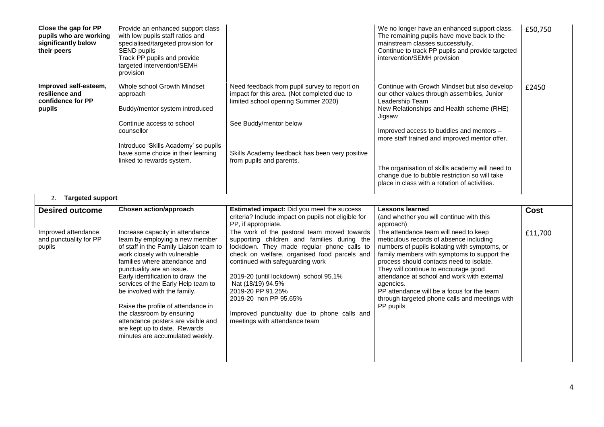| Close the gap for PP<br>pupils who are working<br>significantly below<br>their peers | Provide an enhanced support class<br>with low pupils staff ratios and<br>specialised/targeted provision for<br>SEND pupils<br>Track PP pupils and provide<br>targeted intervention/SEMH<br>provision                                                                                                                                                                                                                                                                                                                             |                                                                                                                                                                                                                                                                                                                                                                                                                                                                                                                                                             | We no longer have an enhanced support class.<br>The remaining pupils have move back to the<br>mainstream classes successfully.<br>Continue to track PP pupils and provide targeted<br>intervention/SEMH provision                                                                                                                                                                                                                                                                                                                | £50,750                |
|--------------------------------------------------------------------------------------|----------------------------------------------------------------------------------------------------------------------------------------------------------------------------------------------------------------------------------------------------------------------------------------------------------------------------------------------------------------------------------------------------------------------------------------------------------------------------------------------------------------------------------|-------------------------------------------------------------------------------------------------------------------------------------------------------------------------------------------------------------------------------------------------------------------------------------------------------------------------------------------------------------------------------------------------------------------------------------------------------------------------------------------------------------------------------------------------------------|----------------------------------------------------------------------------------------------------------------------------------------------------------------------------------------------------------------------------------------------------------------------------------------------------------------------------------------------------------------------------------------------------------------------------------------------------------------------------------------------------------------------------------|------------------------|
| Improved self-esteem,<br>resilience and<br>confidence for PP<br>pupils               | Whole school Growth Mindset<br>approach<br>Buddy/mentor system introduced<br>Continue access to school<br>counsellor<br>Introduce 'Skills Academy' so pupils<br>have some choice in their learning<br>linked to rewards system.                                                                                                                                                                                                                                                                                                  | Need feedback from pupil survey to report on<br>impact for this area. (Not completed due to<br>limited school opening Summer 2020)<br>See Buddy/mentor below<br>Skills Academy feedback has been very positive<br>from pupils and parents.                                                                                                                                                                                                                                                                                                                  | Continue with Growth Mindset but also develop<br>our other values through assemblies, Junior<br>Leadership Team<br>New Relationships and Health scheme (RHE)<br>Jigsaw<br>Improved access to buddies and mentors -<br>more staff trained and improved mentor offer.<br>The organisation of skills academy will need to<br>change due to bubble restriction so will take<br>place in class with a rotation of activities.                                                                                                         | £2450                  |
| <b>Targeted support</b><br>2.                                                        |                                                                                                                                                                                                                                                                                                                                                                                                                                                                                                                                  |                                                                                                                                                                                                                                                                                                                                                                                                                                                                                                                                                             |                                                                                                                                                                                                                                                                                                                                                                                                                                                                                                                                  |                        |
| <b>Desired outcome</b><br>Improved attendance<br>and punctuality for PP<br>pupils    | <b>Chosen action/approach</b><br>Increase capacity in attendance<br>team by employing a new member<br>of staff in the Family Liaison team to<br>work closely with vulnerable<br>families where attendance and<br>punctuality are an issue.<br>Early identification to draw the<br>services of the Early Help team to<br>be involved with the family.<br>Raise the profile of attendance in<br>the classroom by ensuring<br>attendance posters are visible and<br>are kept up to date. Rewards<br>minutes are accumulated weekly. | <b>Estimated impact:</b> Did you meet the success<br>criteria? Include impact on pupils not eligible for<br>PP, if appropriate.<br>The work of the pastoral team moved towards<br>supporting children and families during the<br>lockdown. They made regular phone calls to<br>check on welfare, organised food parcels and<br>continued with safeguarding work<br>2019-20 (until lockdown) school 95.1%<br>Nat (18/19) 94.5%<br>2019-20 PP 91.25%<br>2019-20 non PP 95.65%<br>Improved punctuality due to phone calls and<br>meetings with attendance team | <b>Lessons learned</b><br>(and whether you will continue with this<br>approach)<br>The attendance team will need to keep<br>meticulous records of absence including<br>numbers of pupils isolating with symptoms, or<br>family members with symptoms to support the<br>process should contacts need to isolate.<br>They will continue to encourage good<br>attendance at school and work with external<br>agencies.<br>PP attendance will be a focus for the team<br>through targeted phone calls and meetings with<br>PP pupils | <b>Cost</b><br>£11,700 |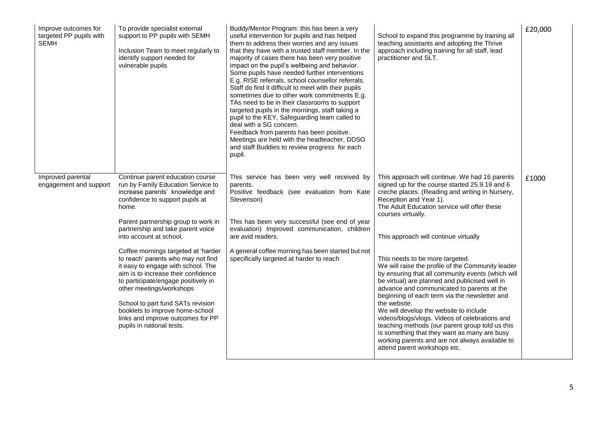| Improve outcomes for<br>targeted PP pupils with<br><b>SEMH</b> | To provide specialist external<br>support to PP pupils with SEMH<br>Inclusion Team to meet regularly to<br>identify support needed for<br>vulnerable pupils                                                                                                                                                                                                         | Buddy/Mentor Program: this has been a very<br>useful intervention for pupils and has helped<br>them to address their worries and any issues<br>that they have with a trusted staff member. In the<br>majority of cases there has been very positive<br>impact on the pupil's wellbeing and behavior.<br>Some pupils have needed further interventions<br>E.g. RISE referrals, school counsellor referrals.<br>Staff do find it difficult to meet with their pupils<br>sometimes due to other work commitments E.g.<br>TAs need to be in their classrooms to support<br>targeted pupils in the mornings, staff taking a<br>pupil to the KEY, Safeguarding team called to<br>deal with a SG concern.<br>Feedback from parents has been positive.<br>Meetings are held with the headteacher, DDSO<br>and staff Buddies to review progress for each<br>pupil. | School to expand this programme by training all<br>teaching assistants and adopting the Thrive<br>approach including training for all staff, lead<br>practitioner and SLT.                                                                                                                                                                                                                                                                                                                                                                                                                   | £20,000 |
|----------------------------------------------------------------|---------------------------------------------------------------------------------------------------------------------------------------------------------------------------------------------------------------------------------------------------------------------------------------------------------------------------------------------------------------------|-----------------------------------------------------------------------------------------------------------------------------------------------------------------------------------------------------------------------------------------------------------------------------------------------------------------------------------------------------------------------------------------------------------------------------------------------------------------------------------------------------------------------------------------------------------------------------------------------------------------------------------------------------------------------------------------------------------------------------------------------------------------------------------------------------------------------------------------------------------|----------------------------------------------------------------------------------------------------------------------------------------------------------------------------------------------------------------------------------------------------------------------------------------------------------------------------------------------------------------------------------------------------------------------------------------------------------------------------------------------------------------------------------------------------------------------------------------------|---------|
| Improved parental<br>engagement and support                    | Continue parent education course<br>run by Family Education Service to<br>increase parents' knowledge and<br>confidence to support pupils at<br>home.                                                                                                                                                                                                               | This service has been very well received by<br>parents.<br>Positive feedback (see evaluation from Kate<br>Stevenson)                                                                                                                                                                                                                                                                                                                                                                                                                                                                                                                                                                                                                                                                                                                                      | This approach will continue. We had 16 parents<br>signed up for the course started 25.9.19 and 6<br>creche places. (Reading and writing in Nursery,<br>Reception and Year 1).<br>The Adult Education service will offer these<br>courses virtually.                                                                                                                                                                                                                                                                                                                                          | £1000   |
|                                                                | Parent partnership group to work in<br>partnership and take parent voice<br>into account at school,                                                                                                                                                                                                                                                                 | This has been very successful (see end of year<br>evaluation) Improved communication, children<br>are avid readers.                                                                                                                                                                                                                                                                                                                                                                                                                                                                                                                                                                                                                                                                                                                                       | This approach will continue virtually                                                                                                                                                                                                                                                                                                                                                                                                                                                                                                                                                        |         |
|                                                                | Coffee mornings targeted at 'harder<br>to reach' parents who may not find<br>it easy to engage with school. The<br>aim is to increase their confidence<br>to participate/engage positively in<br>other meetings/workshops<br>School to part fund SATs revision<br>booklets to improve home-school<br>links and improve outcomes for PP<br>pupils in national tests. | A general coffee morning has been started but not<br>specifically targeted at harder to reach                                                                                                                                                                                                                                                                                                                                                                                                                                                                                                                                                                                                                                                                                                                                                             | This needs to be more targeted.<br>We will raise the profile of the Community leader<br>by ensuring that all community events (which will<br>be virtual) are planned and publicised well in<br>advance and communicated to parents at the<br>beginning of each term via the newsletter and<br>the website.<br>We will develop the website to include<br>videos/blogs/vlogs. Videos of celebrations and<br>teaching methods (our parent group told us this<br>is something that they want as many are busy<br>working parents and are not always available to<br>attend parent workshops etc. |         |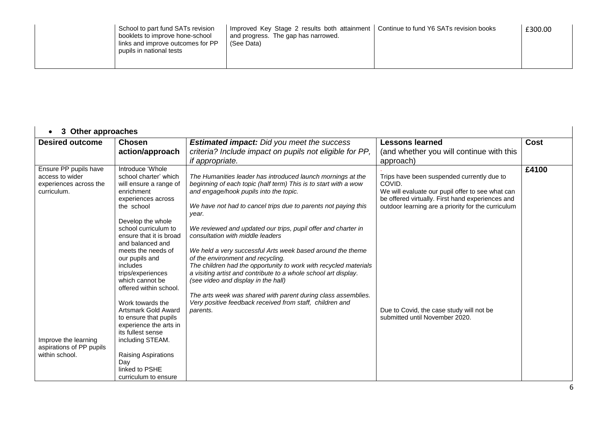| School to part fund SATs revision<br>booklets to improve hone-school<br>links and improve outcomes for PP<br>pupils in national tests | Improved Key Stage 2 results both attainment<br>and progress. The gap has narrowed.<br>(See Data) | Continue to fund Y6 SATs revision books | £300.00 |
|---------------------------------------------------------------------------------------------------------------------------------------|---------------------------------------------------------------------------------------------------|-----------------------------------------|---------|
|---------------------------------------------------------------------------------------------------------------------------------------|---------------------------------------------------------------------------------------------------|-----------------------------------------|---------|

| <b>Other approaches</b><br>3<br>$\bullet$                                         |                                                                                                                                                                                                                                                                                                                                         |                                                                                                                                                                                                                                                                                                                                                                                                                                                                                                                                                                                                                                           |                                                                                                                                                                                                                    |             |
|-----------------------------------------------------------------------------------|-----------------------------------------------------------------------------------------------------------------------------------------------------------------------------------------------------------------------------------------------------------------------------------------------------------------------------------------|-------------------------------------------------------------------------------------------------------------------------------------------------------------------------------------------------------------------------------------------------------------------------------------------------------------------------------------------------------------------------------------------------------------------------------------------------------------------------------------------------------------------------------------------------------------------------------------------------------------------------------------------|--------------------------------------------------------------------------------------------------------------------------------------------------------------------------------------------------------------------|-------------|
| <b>Desired outcome</b>                                                            | <b>Chosen</b><br>action/approach                                                                                                                                                                                                                                                                                                        | <b>Estimated impact:</b> Did you meet the success<br>criteria? Include impact on pupils not eligible for PP,<br><i>if appropriate.</i>                                                                                                                                                                                                                                                                                                                                                                                                                                                                                                    | <b>Lessons learned</b><br>(and whether you will continue with this<br>approach)                                                                                                                                    | <b>Cost</b> |
| Ensure PP pupils have<br>access to wider<br>experiences across the<br>curriculum. | Introduce 'Whole<br>school charter' which<br>will ensure a range of<br>enrichment<br>experiences across<br>the school<br>Develop the whole<br>school curriculum to<br>ensure that it is broad<br>and balanced and<br>meets the needs of<br>our pupils and<br>includes<br>trips/experiences<br>which cannot be<br>offered within school. | The Humanities leader has introduced launch mornings at the<br>beginning of each topic (half term) This is to start with a wow<br>and engage/hook pupils into the topic.<br>We have not had to cancel trips due to parents not paying this<br>year.<br>We reviewed and updated our trips, pupil offer and charter in<br>consultation with middle leaders<br>We held a very successful Arts week based around the theme<br>of the environment and recycling.<br>The children had the opportunity to work with recycled materials<br>a visiting artist and contribute to a whole school art display.<br>(see video and display in the hall) | Trips have been suspended currently due to<br>COVID.<br>We will evaluate our pupil offer to see what can<br>be offered virtually. First hand experiences and<br>outdoor learning are a priority for the curriculum | £4100       |
| Improve the learning<br>aspirations of PP pupils<br>within school.                | Work towards the<br>Artsmark Gold Award<br>to ensure that pupils<br>experience the arts in<br>its fullest sense<br>including STEAM.<br>Raising Aspirations<br>Day<br>linked to PSHE<br>curriculum to ensure                                                                                                                             | The arts week was shared with parent during class assemblies.<br>Very positive feedback received from staff, children and<br>parents.                                                                                                                                                                                                                                                                                                                                                                                                                                                                                                     | Due to Covid, the case study will not be<br>submitted until November 2020.                                                                                                                                         |             |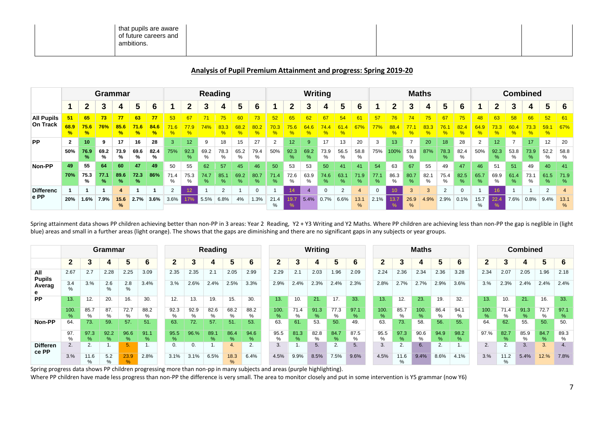| that pupils are aware<br>of future careers and<br>ambitions.<br>. |  |
|-------------------------------------------------------------------|--|

### **Analysis of Pupil Premium Attainment and progress: Spring 2019-20**

|                   |                       |                       | Grammar   |                       |                       |                       |           |           |           | Reading  |           |             |           |                 |                | Writing   |           |                |           |           |           | <b>Maths</b> |                       |           |           |              |              | <b>Combined</b> |                       |                       |
|-------------------|-----------------------|-----------------------|-----------|-----------------------|-----------------------|-----------------------|-----------|-----------|-----------|----------|-----------|-------------|-----------|-----------------|----------------|-----------|-----------|----------------|-----------|-----------|-----------|--------------|-----------------------|-----------|-----------|--------------|--------------|-----------------|-----------------------|-----------------------|
|                   |                       | 2                     | 3         | 4                     |                       | 6                     |           | 2         | 3         |          | 5         | 6           |           | 2               |                |           | 5         | 6              |           | 2         | 3         |              | 5                     | 6         |           | 2            |              | 4               | 5                     | -6                    |
| <b>All Pupils</b> |                       | 65                    | 73        | 77                    | 63                    | 77                    | 53        | 67        |           | 75       | 60        | 73          | 52        | 65              | 62             | 67        | 54        | 61             | 57        | 76        | 74        | 75           | 67                    | 75        | 48        | 63           | 58           | 66              | 52                    | 6 <sup>′</sup>        |
| On Track          | 68.9<br>$\frac{1}{2}$ | 75.6<br>$\frac{9}{6}$ | 76%       | 85.6<br>$\frac{9}{6}$ | 71.6<br>$\frac{9}{6}$ | 84.6<br>$\frac{9}{6}$ |           |           | 74%       | 83.3     | %         |             |           |                 |                |           |           | $67^\circ$     | 77%       |           |           |              | 76.                   |           | ℅         | 73.3         | 60           | %               | 59.1<br>$\frac{9}{6}$ | 67%                   |
| <b>PP</b>         | $\mathbf{2}$          | 10                    | 9         | 17                    | 16                    | 28                    | 3         | 12        | 9         | 18       | 15        | 27          | 2         | 12 <sup>2</sup> | 9              | 17        | 13        | 20             |           | 13        |           | 20           | 18                    | 28        | 2         | 12           |              | 17              | 12                    | 20                    |
|                   | 50%                   | 76.9<br>%             | 69.2<br>% | 73.9<br>%             | 69.6<br>%             | 82.4<br>%             | 75%       | 92.3<br>℅ | 69.2<br>% | 78.3     | 65.2<br>% | 79.4<br>%   | 50%       | 92.3<br>%       | 69.2<br>$\%$   | 73.9<br>% | 56.5<br>% | 58.8<br>%      | 75%       | 100%      | 53.8<br>% | 87%          | 78.3<br>$\frac{9}{6}$ | 82.4<br>% | 50%       | 92.3<br>$\%$ | 53.8<br>%    | 73.9<br>%       | 52.2<br>%             | 58.8<br>%             |
| Non-PP            | 49                    | 55                    | 64        | 60                    | 47                    | 49                    | 50        | 55        | 62        | 57       | 45        | 46          | 50        | 53              | 53             | 50        | 41        | 41             | 54        | 63        | 67        | 55           | 49                    | 47        | 46        | 51           | 51           | 49              | 40                    | 41                    |
|                   | 70%                   | 75.3<br>℅             | 77.1<br>% | 89.6<br>%             | 72.3<br>℅             | 86%                   | 71.4<br>% | 75.3<br>% | 74.7<br>% | 85.<br>% | 69.2<br>% | 80.7<br>%   | 71.4<br>% | 72.6<br>%       | 63.9<br>%      | 74.6<br>% | 63.<br>%  | 71.9<br>%      | 77.1<br>℅ | 86.3<br>% | 80.7<br>% | 82.1<br>%    | 75.4<br>%             | 82.5<br>% | 65.7<br>% | 69.9<br>%    | 61.4<br>$\%$ | 73.1<br>℅       | 61.5<br>%             | 71.9<br>%             |
| <b>Differenc</b>  |                       |                       |           | 4                     |                       |                       | $\sim$    | 12        |           | ີ        |           | $\mathbf 0$ |           |                 | $\overline{4}$ |           | 2         | $\overline{a}$ |           | 10        | 3         | 3            | $\overline{2}$        | 0         |           | 16           |              |                 | $\overline{2}$        |                       |
| e PP              | 20%                   | $1.6\%$               | 7.9%      | 15.6<br>$\%$          | 2.7%                  | 3.6%                  | $3.6\%$   | 17%       | 5.5%      | 6.8%     | 4%        | 1.3%        | 21.4      | 19.7<br>-70     | 5.4%           | 0.7%      | 6.6%      | 13.1<br>%      | 2.1%      | 13.7      | 26.9<br>% | 4.9%         | 2.9%                  | 0.1%      | 15.7<br>% | 22.4<br>%    | 7.6%         | 0.8%            | 9.4%                  | 13.1<br>$\frac{9}{6}$ |

Spring attainment data shows PP children achieving better than non-PP in 3 areas: Year 2 Reading, Y2 + Y3 Writing and Y2 Maths. Where PP children are achieving less than non-PP the gap is neglible in (light blue) areas and small in a further areas (light orange). The shows that the gaps are diminishing and there are no significant gaps in any subjects or year groups.

|                          |                      |           | Grammar      |           |           |           |                       | Reading      |                       |           |           | <b>Writing</b> |                       |           |           | <b>Maths</b> |                       |           |                       |              |           | <b>Combined</b>       |           |              |           |  |  |  |
|--------------------------|----------------------|-----------|--------------|-----------|-----------|-----------|-----------------------|--------------|-----------------------|-----------|-----------|----------------|-----------------------|-----------|-----------|--------------|-----------------------|-----------|-----------------------|--------------|-----------|-----------------------|-----------|--------------|-----------|--|--|--|
|                          | 2                    | 3         |              |           | 6         | 2         | ∙<br>J                |              |                       | 6         | 2         |                |                       | 5         |           |              |                       |           | 5                     | 6            | ≏         | a                     |           |              | 6         |  |  |  |
| All<br><b>Pupils</b>     | 2.67                 | 2.7       | 2.28         | 2.25      | 3.09      | 2.35      | 2.35                  | 2.1          | 2.05                  | 2.99      | 2.29      | 2.1            | 2.03                  | 1.96      | 2.09      | 2.24         | 2.36                  | 2.34      | 2.36                  | 3.28         | 2.34      | 2.07                  | 2.05      | 1.96         | 2.18      |  |  |  |
| Averag                   | 3.4<br>$\frac{0}{0}$ | 3.%       | 2.6<br>$\%$  | 2.8<br>%  | 3.4%      | 3.%       | 2.6%                  | 2.4%         | 2.5%                  | 3.3%      | 2.9%      | 2.4%           | 2.3%                  | 2.4%      | 2.3%      | 2.8%         | 2.7%                  | 2.7%      | 2.9%                  | 3.6%         | 3.%       | 2.3%                  | 2.4%      | 2.4%         | 2.4%      |  |  |  |
| <b>PP</b>                | 13.                  | 12.       | 20.          | 16.       | 30.       | 12.       | 13.                   | 19.          | 15.                   | 30.       | 13.       | 10.            | 21.                   | 17.       | 33.       | 13.          | 12.                   | 23.       | 19.                   | 32.          | 13.       | 10.                   | 21.       | 16.          | 33.       |  |  |  |
|                          | 100<br>$\frac{9}{6}$ | 85.7<br>% | 87.<br>%     | 72.7<br>% | 88.2<br>% | 92.3<br>% | 92.9<br>$\frac{0}{0}$ | 82.6<br>%    | 68.2<br>%             | 88.2<br>% | 100.<br>% | 71.4<br>%      | 91.3<br>$\%$          | 77.3<br>% | 97.1<br>% | 100.<br>%    | 85.7<br>%             | 100.<br>% | 86.4<br>%             | 94.1<br>%    | 100.<br>% | 71.4<br>%             | 91.3<br>% | 72.7<br>%    | 97.1<br>% |  |  |  |
| Non-PP                   | 64.                  | 73.       | 59.          | 57.       | 51.       | 63.       | 72.                   | 57.          | 51.                   | 53.       | 63.       | 61.            | 53.                   | 50.       | 49.       | 63.          | 73.                   | 58.       | 56.                   | 55.          | 64.       | 62.                   | 55.       | 50.          | 50.       |  |  |  |
|                          | 97<br>$\frac{0}{c}$  | 97.3<br>% | 92.2<br>$\%$ | 96.6<br>% | 91.1<br>% | 95.5<br>% | 96.%                  | 89.1<br>$\%$ | 86.4<br>%             | 94.6<br>% | 95.5<br>% | 81.3<br>$\%$   | 82.8<br>$\frac{0}{0}$ | 84.7<br>% | 87.5<br>% | 95.5<br>%    | 97.3<br>$\frac{9}{6}$ | 90.6<br>% | 94.9<br>$\frac{9}{6}$ | 98.2<br>$\%$ | 97.%      | 82.7<br>$\frac{9}{6}$ | 85.9<br>% | 84.7<br>$\%$ | 89.3<br>% |  |  |  |
| <b>Differen</b><br>ce PP |                      | 2.        |              | 5         |           | 0.        |                       |              |                       | 2.        | 3.        |                | 5.                    | 2.        |           | 3            | 2.                    | 6.        | c                     |              | 2.        | C                     | 3.        | 3.           | 4.        |  |  |  |
|                          | 3.%                  | 11.6<br>% | 5.2<br>%     | 23.9<br>% | 2.8%      | 3.1%      | 3.1%                  | 6.5%         | 18.3<br>$\frac{9}{6}$ | 6.4%      | 4.5%      | 9.9%           | 8.5%                  | 7.5%      | 9.6%      | 4.5%         | 11.6<br>%             | 9.4%      | 8.6%                  | 4.1%         | 3.%       | 11.2<br>%             | 5.4%      | 12.%         | 7.8%      |  |  |  |

Spring progress data shows PP children progressing more than non-pp in many subjects and areas (purple highlighting).

Where PP children have made less progress than non-PP the difference is very small. The area to monitor closely and put in some intervention is Y5 grammar (now Y6)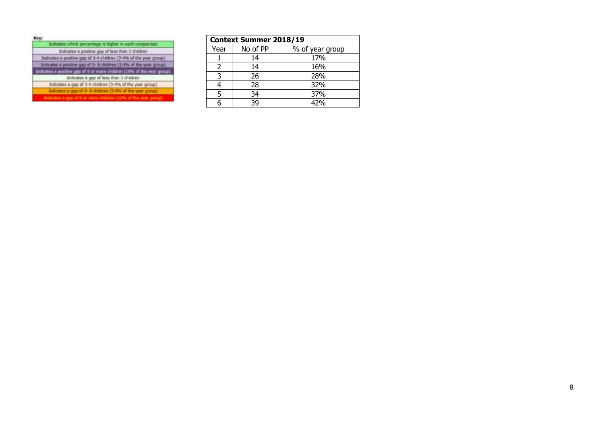| Indicates which percentage is higher in each comparison                |
|------------------------------------------------------------------------|
| Indicates a postive gap of less than 3 children                        |
| Indicates a positive gap of 3-4 children (3-4% of the year group)      |
| Indicates a positive gap of 5- 8 children (5-9% of the year group)     |
| Indicates a positive gap of 9 or more children (10% of the year group) |
| Indicates a gap of less than 3 children                                |
| Indicates a gap of 3-4 children (3-4% of the year group)               |
| Indicates a gap of 5- il children (5-9% of the year group).            |
| Indicates a gap of 9 or more children (10% of the year group)          |

|                | <b>Context Summer 2018/19</b> |                 |  |  |  |  |  |  |  |  |  |  |
|----------------|-------------------------------|-----------------|--|--|--|--|--|--|--|--|--|--|
| Year           | No of PP                      | % of year group |  |  |  |  |  |  |  |  |  |  |
|                | 14                            | 17%             |  |  |  |  |  |  |  |  |  |  |
| $\overline{2}$ | 14                            | 16%             |  |  |  |  |  |  |  |  |  |  |
|                | 26                            | 28%             |  |  |  |  |  |  |  |  |  |  |
|                | 28                            | 32%             |  |  |  |  |  |  |  |  |  |  |
| 5              | 34                            | 37%             |  |  |  |  |  |  |  |  |  |  |
|                | 39                            | 42%             |  |  |  |  |  |  |  |  |  |  |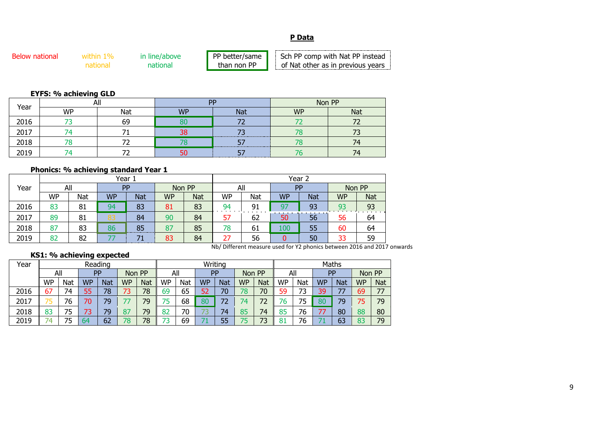## **P Data**

| <b>Below national</b> | ın lıne/above | РP<br>' better/same | Sch PP comp with Nat PP instead   |
|-----------------------|---------------|---------------------|-----------------------------------|
|                       | nationa.      | than non PP         | of Nat other as in previous vears |

# **EYFS: % achieving GLD**

| Year | ៱៲<br>Ηı |     | <b>DD</b> |            | Non PP    |            |  |  |
|------|----------|-----|-----------|------------|-----------|------------|--|--|
|      | WP       | Nat | <b>WP</b> | <b>Nat</b> | <b>WP</b> | <b>Nat</b> |  |  |
| 2016 |          | 69  | $\alpha$  |            |           |            |  |  |
| 2017 |          |     | 38        |            |           |            |  |  |
| 2018 |          |     |           |            |           |            |  |  |
| 2010 |          |     | r c<br>ЭU |            |           | 74         |  |  |

# **Phonics: % achieving standard Year 1**

|      |           |     | Year 1    |            |           |            | Year 2                           |                               |           |                                                                                                                                                                                                                                            |           |            |  |  |  |
|------|-----------|-----|-----------|------------|-----------|------------|----------------------------------|-------------------------------|-----------|--------------------------------------------------------------------------------------------------------------------------------------------------------------------------------------------------------------------------------------------|-----------|------------|--|--|--|
| Year |           | All | <b>PP</b> |            | Non PP    |            | All                              |                               | PP        |                                                                                                                                                                                                                                            | Non PP    |            |  |  |  |
|      | <b>WP</b> | Nat | <b>WP</b> | <b>Nat</b> | <b>WP</b> | <b>Nat</b> | <b>WP</b>                        | Nat                           | <b>WP</b> | <b>Nat</b>                                                                                                                                                                                                                                 | <b>WP</b> | <b>Nat</b> |  |  |  |
| 2016 | 83        | 81  | 94        | 83         | 81        | 83         | 94<br>the company of the company | 91                            | g.        | 93                                                                                                                                                                                                                                         | 93        | 93         |  |  |  |
| 2017 | 89        | 81  | 83        | 84         | 90        | 84         | 57                               | the control of the con-<br>62 | 50        | <u> Alexander and Alexander and Alexander and Alexander and Alexander and Alexander and Alexander and Alexander and Alexander and Alexander and Alexander and Alexander and Alexander and Alexander and Alexander and Alexander </u><br>56 | 56        | 64         |  |  |  |
| 2018 | 87        | 83  | 86        | 85<br>     | 87        | 85         | 78                               | -61                           | 100       | 55                                                                                                                                                                                                                                         | 60        | 64         |  |  |  |
| 2019 | 82        | 82  |           |            | 83        | 84         | 27                               | 56                            |           | 50                                                                                                                                                                                                                                         | 33        | 59         |  |  |  |
|      |           |     |           |            |           |            |                                  |                               |           | $\mathbf{r} \cup \mathbf{r} \cup \mathbf{r} \cup \mathbf{r}$ , and the set of $\mathbf{r} \cup \mathbf{r}$ , and the set of $\mathbf{r} \cup \mathbf{r}$                                                                                   |           |            |  |  |  |

Nb/ Different measure used for Y2 phonics between 2016 and 2017 onwards

# **KS1: % achieving expected**

| Year | Reading   |     |           |            |           |               |           | Writing |           |            |           |            |           |     | Maths     |     |           |            |  |  |  |
|------|-----------|-----|-----------|------------|-----------|---------------|-----------|---------|-----------|------------|-----------|------------|-----------|-----|-----------|-----|-----------|------------|--|--|--|
|      | All       |     | PP        |            |           | All<br>Non PP |           |         | PP        |            | Non PP    |            | All       |     | PP        |     | Non PP    |            |  |  |  |
|      | <b>WP</b> | Nat | <b>WP</b> | <b>Nat</b> | <b>WP</b> | <b>Nat</b>    | <b>WP</b> | Nat     | <b>WP</b> | <b>Nat</b> | <b>WP</b> | <b>Nat</b> | <b>WP</b> | Nat | <b>WP</b> | Nat | <b>WP</b> | <b>Nat</b> |  |  |  |
| 2016 | 67        | 74  | 55        | 78         | 73        | 78            | 69        | 65      | 52        | 70         | 78        | 70         | 59        | 73  | 39        | 77  | 69        | 77         |  |  |  |
| 2017 | ت         | 76  | 70        | 79         |           | 79            | ت         | 68      | 80        | 72         | 74        | 72         | 76        | 75  | 80        | 79  | 75        | 79         |  |  |  |
| 2018 | 83        | 75  | ر .       | 79         | 87        | 79            | רּס<br>oΖ | 70      |           | 74         | 85        | 74         | 85        | 76  |           | 80  | 88        | 80         |  |  |  |
| 2019 | 74        | 75  | 64        | 62         | 78        | 78            |           | 69      |           | 55         | 75        | 73         | 81        | 76  |           | 63  | 83        | 79         |  |  |  |